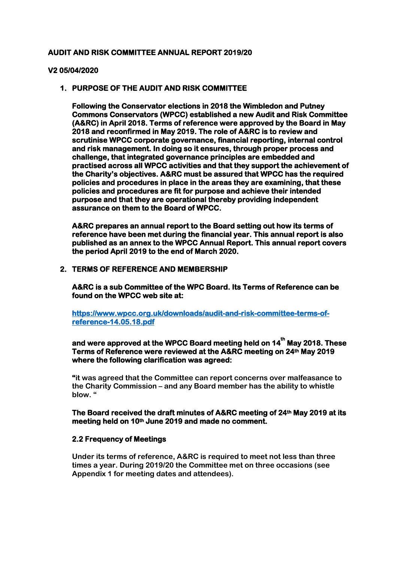#### **AUDIT AND RISK COMMITTEE ANNUAL REPORT 2019/20**

#### **V2 05/04/2020**

#### **1. PURPOSE OF THE AUDIT AND RISK COMMITTEE**

**Following the Conservator elections in 2018 the Wimbledon and Putney Commons Conservators (WPCC) established a new Audit and Risk Committee (A&RC) in April 2018. Terms of reference were approved by the Board in May 2018 and reconfirmed in May 2019. The role of A&RC is to review and scrutinise WPCC corporate governance, financial reporting, internal control and risk management. In doing so it ensures, through proper process and challenge, that integrated governance principles are embedded and practised across all WPCC activities and that they support the achievement of the Charity's objectives. A&RC must be assured that WPCC has the required policies and procedures in place in the areas they are examining, that these policies and procedures are fit for purpose and achieve their intended purpose and that they are operational thereby providing independent assurance on them to the Board of WPCC.** 

**A&RC prepares an annual report to the Board setting out how its terms of reference have been met during the financial year. This annual report is also published as an annex to the WPCC Annual Report. This annual report covers the period April 2019 to the end of March 2020.** 

#### **2. TERMS OF REFERENCE AND MEMBERSHIP**

**A&RC is a sub Committee of the WPC Board. Its Terms of Reference can be found on the WPCC web site at:** 

**[https://www.wpcc.org.uk/downloads/audit-and-risk-committee-terms-of](https://www.wpcc.org.uk/downloads/audit-and-risk-committee-terms-of-reference-14.05.18.pdf)[reference-14.05.18.pdf](https://www.wpcc.org.uk/downloads/audit-and-risk-committee-terms-of-reference-14.05.18.pdf)** 

# and were approved at the WPCC Board meeting held on 14<sup>th</sup> May 2018. These **Terms of Reference were reviewed at the A&RC meeting on 24th May 2019 where the following clarification was agreed:**

**"it was agreed that the Committee can report concerns over malfeasance to the Charity Commission – and any Board member has the ability to whistle blow. "** 

#### **The Board received the draft minutes of A&RC meeting of 24th May 2019 at its meeting held on 10th June 2019 and made no comment.**

#### **2.2 Frequency of Meetings**

**Under its terms of reference, A&RC is required to meet not less than three times a year. During 2019/20 the Committee met on three occasions (see Appendix 1 for meeting dates and attendees).**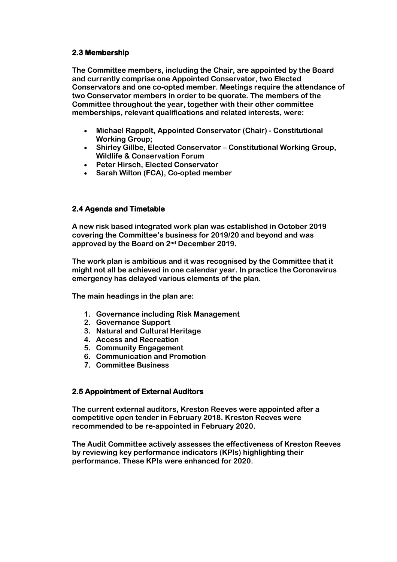## **2.3 Membership**

**The Committee members, including the Chair, are appointed by the Board and currently comprise one Appointed Conservator, two Elected Conservators and one co-opted member. Meetings require the attendance of two Conservator members in order to be quorate. The members of the Committee throughout the year, together with their other committee memberships, relevant qualifications and related interests, were:** 

- **Michael Rappolt, Appointed Conservator (Chair) - Constitutional Working Group;**
- **Shirley Gillbe, Elected Conservator – Constitutional Working Group, Wildlife & Conservation Forum**
- **Peter Hirsch, Elected Conservator**
- **Sarah Wilton (FCA), Co-opted member**

# **2.4 Agenda and Timetable**

**A new risk based integrated work plan was established in October 2019 covering the Committee's business for 2019/20 and beyond and was approved by the Board on 2nd December 2019.** 

**The work plan is ambitious and it was recognised by the Committee that it might not all be achieved in one calendar year. In practice the Coronavirus emergency has delayed various elements of the plan.**

**The main headings in the plan are:** 

- **1. Governance including Risk Management**
- **2. Governance Support**
- **3. Natural and Cultural Heritage**
- **4. Access and Recreation**
- **5. Community Engagement**
- **6. Communication and Promotion**
- **7. Committee Business**

## **2.5 Appointment of External Auditors**

**The current external auditors, Kreston Reeves were appointed after a competitive open tender in February 2018. Kreston Reeves were recommended to be re-appointed in February 2020.**

**The Audit Committee actively assesses the effectiveness of Kreston Reeves by reviewing key performance indicators (KPIs) highlighting their performance. These KPIs were enhanced for 2020.**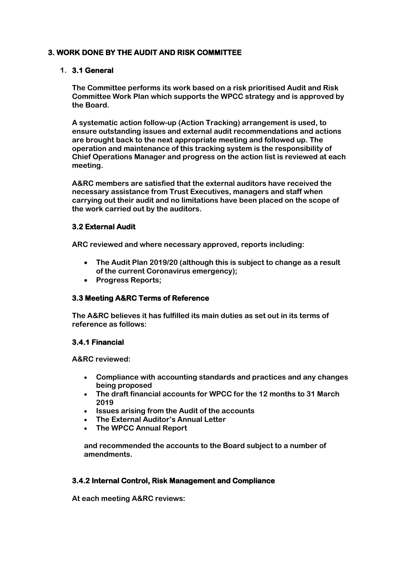# **3. WORK DONE BY THE AUDIT AND RISK COMMITTEE**

# **1. 3.1 General**

**The Committee performs its work based on a risk prioritised Audit and Risk Committee Work Plan which supports the WPCC strategy and is approved by the Board.** 

**A systematic action follow-up (Action Tracking) arrangement is used, to ensure outstanding issues and external audit recommendations and actions are brought back to the next appropriate meeting and followed up. The operation and maintenance of this tracking system is the responsibility of Chief Operations Manager and progress on the action list is reviewed at each meeting.** 

**A&RC members are satisfied that the external auditors have received the necessary assistance from Trust Executives, managers and staff when carrying out their audit and no limitations have been placed on the scope of the work carried out by the auditors.** 

# **3.2 External Audit**

**ARC reviewed and where necessary approved, reports including:** 

- **The Audit Plan 2019/20 (although this is subject to change as a result of the current Coronavirus emergency);**
- **Progress Reports;**

## **3.3 Meeting A&RC Terms of Reference**

**The A&RC believes it has fulfilled its main duties as set out in its terms of reference as follows:**

# **3.4.1 Financial**

**A&RC reviewed:** 

- **Compliance with accounting standards and practices and any changes being proposed**
- **The draft financial accounts for WPCC for the 12 months to 31 March 2019**
- **Issues arising from the Audit of the accounts**
- **The External Auditor's Annual Letter**
- **The WPCC Annual Report**

**and recommended the accounts to the Board subject to a number of amendments.**

## **3.4.2 Internal Control, Risk Management and Compliance**

**At each meeting A&RC reviews:**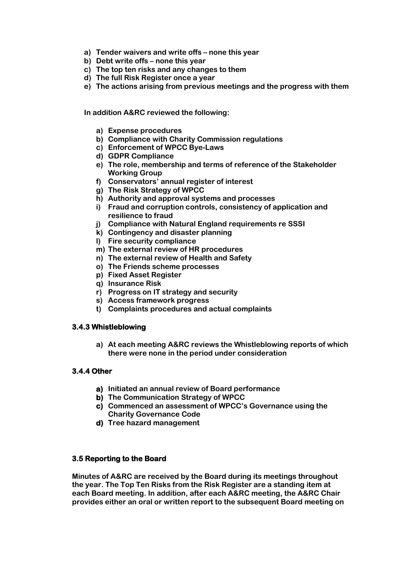- **a) Tender waivers and write offs – none this year**
- **b) Debt write offs – none this year**
- **c) The top ten risks and any changes to them**
- **d) The full Risk Register once a year**
- **e) The actions arising from previous meetings and the progress with them**

**In addition A&RC reviewed the following:**

- **a) Expense procedures**
- **b) Compliance with Charity Commission regulations**
- **c) Enforcement of WPCC Bye-Laws**
- **d) GDPR Compliance**
- **e) The role, membership and terms of reference of the Stakeholder Working Group**
- **f) Conservators' annual register of interest**
- **g) The Risk Strategy of WPCC**
- **h) Authority and approval systems and processes**
- **i) Fraud and corruption controls, consistency of application and resilience to fraud**
- **j) Compliance with Natural England requirements re SSSI**
- **k) Contingency and disaster planning**
- **l) Fire security compliance**
- **m) The external review of HR procedures**
- **n) The external review of Health and Safety**
- **o) The Friends scheme processes**
- **p) Fixed Asset Register**
- **q) Insurance Risk**
- **r) Progress on IT strategy and security**
- **s) Access framework progress**
- **t) Complaints procedures and actual complaints**

## **3.4.3 Whistleblowing**

**a) At each meeting A&RC reviews the Whistleblowing reports of which there were none in the period under consideration**

# **3.4.4 Other**

- **a) Initiated an annual review of Board performance**
- **b) The Communication Strategy of WPCC**
- **c) Commenced an assessment of WPCC's Governance using the Charity Governance Code**
- **d) Tree hazard management**

## **3.5 Reporting to the Board**

**Minutes of A&RC are received by the Board during its meetings throughout the year. The Top Ten Risks from the Risk Register are a standing item at each Board meeting. In addition, after each A&RC meeting, the A&RC Chair provides either an oral or written report to the subsequent Board meeting on**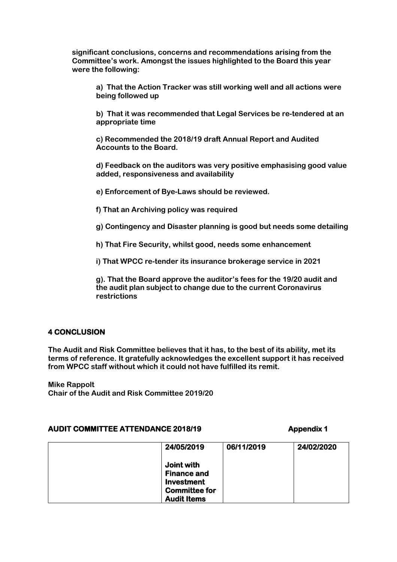**significant conclusions, concerns and recommendations arising from the Committee's work. Amongst the issues highlighted to the Board this year were the following:** 

**a) That the Action Tracker was still working well and all actions were being followed up** 

**b) That it was recommended that Legal Services be re-tendered at an appropriate time**

**c) Recommended the 2018/19 draft Annual Report and Audited Accounts to the Board.** 

**d) Feedback on the auditors was very positive emphasising good value added, responsiveness and availability** 

**e) Enforcement of Bye-Laws should be reviewed.** 

**f) That an Archiving policy was required**

**g) Contingency and Disaster planning is good but needs some detailing** 

**h) That Fire Security, whilst good, needs some enhancement**

**i) That WPCC re-tender its insurance brokerage service in 2021** 

**g). That the Board approve the auditor's fees for the 19/20 audit and the audit plan subject to change due to the current Coronavirus restrictions** 

# **4 CONCLUSION**

**The Audit and Risk Committee believes that it has, to the best of its ability, met its terms of reference. It gratefully acknowledges the excellent support it has received from WPCC staff without which it could not have fulfilled its remit.** 

**Mike Rappolt Chair of the Audit and Risk Committee 2019/20**

## **AUDIT COMMITTEE ATTENDANCE 2018/19 Appendix 1**

| 24/05/2019                                            | 06/11/2019 | 24/02/2020 |
|-------------------------------------------------------|------------|------------|
| Joint with<br><b>Finance and</b><br><b>Investment</b> |            |            |
| <b>Committee for</b><br><b>Audit Items</b>            |            |            |